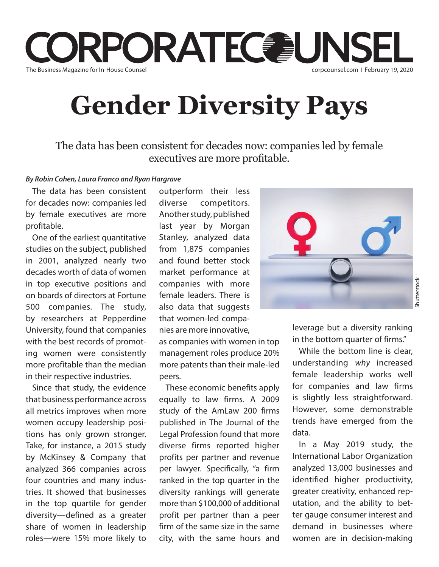

## **Gender Diversity Pays**

The data has been consistent for decades now: companies led by female executives are more profitable.

## *By Robin Cohen, Laura Franco and Ryan Hargrave*

The data has been consistent for decades now: companies led by female executives are more profitable.

One of the earliest quantitative studies on the subject, published in 2001, analyzed nearly two decades worth of data of women in top executive positions and on boards of directors at Fortune 500 companies. The study, by researchers at Pepperdine University, found that companies with the best records of promoting women were consistently more profitable than the median in their respective industries.

Since that study, the evidence that business performance across all metrics improves when more women occupy leadership positions has only grown stronger. Take, for instance, a 2015 study by McKinsey & Company that analyzed 366 companies across four countries and many industries. It showed that businesses in the top quartile for gender diversity—defined as a greater share of women in leadership roles—were 15% more likely to

outperform their less diverse competitors. Another study, published last year by Morgan Stanley, analyzed data from 1,875 companies and found better stock market performance at companies with more female leaders. There is also data that suggests that women-led companies are more innovative,

as companies with women in top management roles produce 20% more patents than their male-led peers.

These economic benefits apply equally to law firms. A 2009 study of the AmLaw 200 firms published in The Journal of the Legal Profession found that more diverse firms reported higher profits per partner and revenue per lawyer. Specifically, "a firm ranked in the top quarter in the diversity rankings will generate more than \$100,000 of additional profit per partner than a peer firm of the same size in the same city, with the same hours and



leverage but a diversity ranking in the bottom quarter of firms."

While the bottom line is clear. understanding *why* increased female leadership works well for companies and law firms is slightly less straightforward. However, some demonstrable trends have emerged from the data.

In a May 2019 study, the International Labor Organization analyzed 13,000 businesses and identified higher productivity, greater creativity, enhanced reputation, and the ability to better gauge consumer interest and demand in businesses where women are in decision-making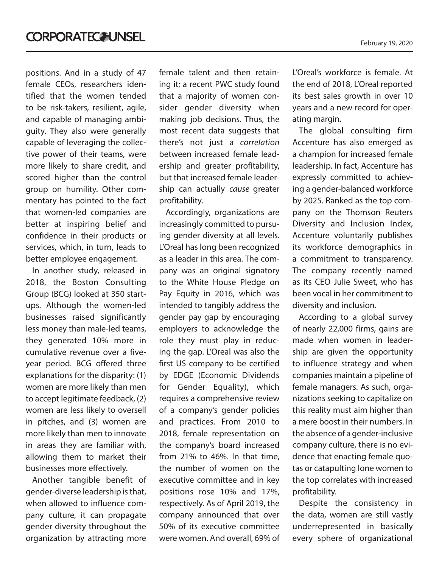positions. And in a study of 47 female CEOs, researchers identified that the women tended to be risk-takers, resilient, agile, and capable of managing ambiguity. They also were generally capable of leveraging the collective power of their teams, were more likely to share credit, and scored higher than the control group on humility. Other commentary has pointed to the fact that women-led companies are better at inspiring belief and confidence in their products or services, which, in turn, leads to better employee engagement.

In another study, released in 2018, the Boston Consulting Group (BCG) looked at 350 startups. Although the women-led businesses raised significantly less money than male-led teams, they generated 10% more in cumulative revenue over a fiveyear period. BCG offered three explanations for the disparity: (1) women are more likely than men to accept legitimate feedback, (2) women are less likely to oversell in pitches, and (3) women are more likely than men to innovate in areas they are familiar with, allowing them to market their businesses more effectively.

Another tangible benefit of gender-diverse leadership is that, when allowed to influence company culture, it can propagate gender diversity throughout the organization by attracting more

female talent and then retaining it; a recent PWC study found that a majority of women consider gender diversity when making job decisions. Thus, the most recent data suggests that there's not just a *correlation*  between increased female leadership and greater profitability, but that increased female leadership can actually *cause* greater profitability.

Accordingly, organizations are increasingly committed to pursuing gender diversity at all levels. L'Oreal has long been recognized as a leader in this area. The company was an original signatory to the White House Pledge on Pay Equity in 2016, which was intended to tangibly address the gender pay gap by encouraging employers to acknowledge the role they must play in reducing the gap. L'Oreal was also the first US company to be certified by EDGE (Economic Dividends for Gender Equality), which requires a comprehensive review of a company's gender policies and practices. From 2010 to 2018, female representation on the company's board increased from 21% to 46%. In that time, the number of women on the executive committee and in key positions rose 10% and 17%, respectively. As of April 2019, the company announced that over 50% of its executive committee were women. And overall, 69% of

L'Oreal's workforce is female. At the end of 2018, L'Oreal reported its best sales growth in over 10 years and a new record for operating margin.

The global consulting firm Accenture has also emerged as a champion for increased female leadership. In fact, Accenture has expressly committed to achieving a gender-balanced workforce by 2025. Ranked as the top company on the Thomson Reuters Diversity and Inclusion Index, Accenture voluntarily publishes its workforce demographics in a commitment to transparency. The company recently named as its CEO Julie Sweet, who has been vocal in her commitment to diversity and inclusion.

According to a global survey of nearly 22,000 firms, gains are made when women in leadership are given the opportunity to influence strategy and when companies maintain a pipeline of female managers. As such, organizations seeking to capitalize on this reality must aim higher than a mere boost in their numbers. In the absence of a gender-inclusive company culture, there is no evidence that enacting female quotas or catapulting lone women to the top correlates with increased profitability.

Despite the consistency in the data, women are still vastly underrepresented in basically every sphere of organizational